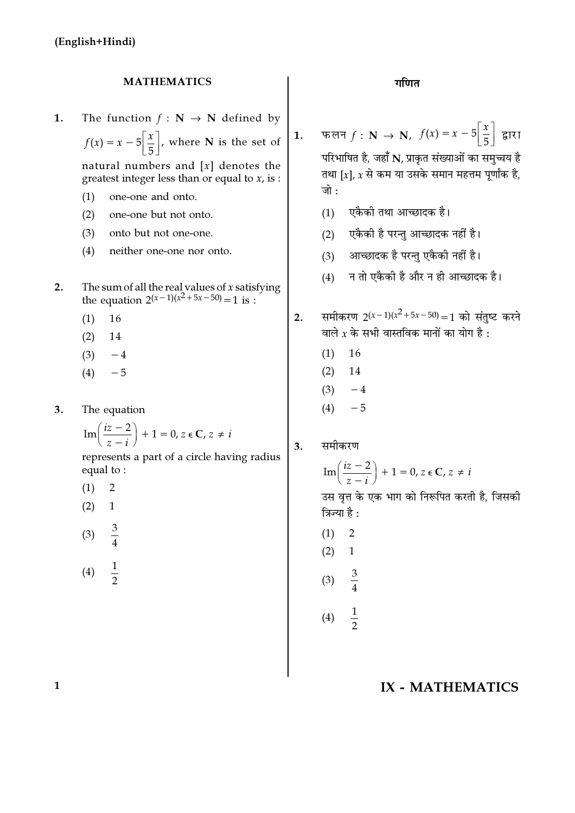#### **MATHEMATICS**

- 1. The function  $f : \mathbb{N} \to \mathbb{N}$  defined by  $f(x) = x - 5\left[\frac{x}{5}\right]$ , where **N** is the set of natural numbers and  $[x]$  denotes the greatest integer less than or equal to  $x$ , is :  $(1)$ one-one and onto.  $(2)$ one-one but not onto.  $(3)$ onto but not one-one.  $(4)$ neither one-one nor onto. The sum of all the real values of *x* satisfying<br>the equation  $2(x-1)(x^2+5x-50) = 1$  is :  $2.$ 
	- 16  $(1)$
	- $(2)$ 14
	- $(3)$  $-4$
	- $(4)$  $-5$
- $3.$ The equation

$$
\operatorname{Im}\left(\frac{iz-2}{z-i}\right)+1=0, z \in \mathbb{C}, z \neq i
$$

represents a part of a circle having radius equal to:

- $\overline{2}$  $(1)$
- $(2)$  $\mathbf{1}$
- $(3)$  $\overline{4}$

 $\frac{1}{2}$ 

 $(4)$ 

फलन  $f: \mathbf{N} \to \mathbf{N}$ ,  $f(x) = x - 5\left| \frac{x}{5} \right|$  $1.$ द्वारा परिभाषित है, जहाँ N, प्राकृत संख्याओं का समुच्चय है तथा [x], x से कम या उसके समान महत्तम पर्णांक है.

- एकैकी तथा आच्छादक है।  $(1)$
- एकैकी है परन्तु आच्छादक नहीं है।  $(2)$
- आच्छादक है परन्तु एकैकी नहीं है।  $(3)$
- न तो एकैकी है और न ही आच्छादक है।  $(4)$
- समीकरण  $2(x-1)(x^2+5x-50)=1$  को संतष्ट करने  $2.$ वाले  $x$  के सभी वास्तविक मानों का योग है :
	- $(1)$ 16

जो $\cdot$ 

- $(2)$ 14
- $(3)$  $-4$
- $(4)$  $-5$

समीकरण 3.

$$
\operatorname{Im}\left(\frac{iz-2}{z-i}\right) + 1 = 0, z \in \mathbb{C}, z \neq i
$$
  
उस वृत्त के एक भाग को निरूपित करती है, जिसकी  
त्रिज्या है :  
(1) 2

 $(1)$  $(2)$  $\mathbf{1}$  $(3)$ 

 $(4)$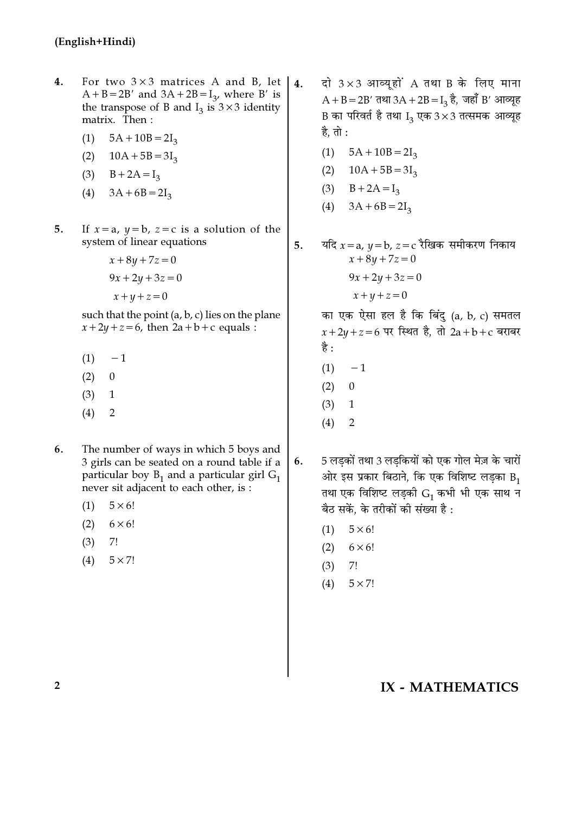- $4.$ For two  $3\times3$  matrices A and B, let | 4.  $A + B = 2B'$  and  $3A + 2B = I_3$ , where B' is the transpose of B and  $I_3$  is  $3 \times 3$  identity matrix. Then:
	- $5A + 10B = 2I_3$  $(1)$
	- $(2)$  $10A + 5B = 3I_3$
	- (3)  $B + 2A = I_3$
	- $3A + 6B = 2I_3$  $(4)$
- $5<sub>1</sub>$ If  $x = a$ ,  $y = b$ ,  $z = c$  is a solution of the system of linear equations
	- $x + 8y + 7z = 0$  $9x + 2y + 3z = 0$  $x+y+z=0$

such that the point (a, b, c) lies on the plane  $x+2y+z=6$ , then  $2a+b+c$  equals :

- $(1) -1$
- $(2)$  $\theta$
- $(3)$  $\mathbf{1}$
- $(4)$  $\overline{2}$
- The number of ways in which 5 boys and 6. 3 girls can be seated on a round table if a particular boy  $B_1$  and a particular girl  $G_1$ never sit adjacent to each other, is :
	- $(1)$  $5 \times 6!$
	- $(2)$  $6 \times 6!$
	- $(3)$ 7!
	- $(4)$  $5 \times 7!$
- दो  $3 \times 3$  आव्यूहों A तथा B के लिए माना  $A + B = 2B'$  तथा  $3A + 2B = I_3$  है, जहाँ B' आव्यूह B का परिवर्त है तथा  $I_3$  एक 3  $\times$ 3 तत्समक आव्यूह है, तो :
	- $(1)$  $5A + 10B = 2I_3$
	- $(2)$  $10A + 5B = 3I_3$
	- $(3)$  $B + 2A = I_3$
	- $(4)$  $3A + 6B = 2I_3$
- यदि  $x = a$ ,  $y = b$ ,  $z = c$  रैखिक समीकरण निकाय 5.  $x + 8y + 7z = 0$  $9x + 2y + 3z = 0$ 
	- $x+y+z=0$

का एक ऐसा हल है कि बिंदु (a, b, c) समतल  $x + 2y + z = 6$  पर स्थित है, तो 2a+b+c बराबर है :

- $(1)$  $-1$
- $(2)$  $\overline{0}$
- $(3)$  $\mathbf{1}$
- $(4)$  $\overline{2}$
- 5 लडकों तथा 3 लडकियों को एक गोल मेज़ के चारों 6. ओर इस प्रकार बिठाने, कि एक विशिष्ट लड़का  $B_1$ तथा एक विशिष्ट लड़की  $G_1$  कभी भी एक साथ न बैठ सकें. के तरीकों की संख्या है :
	- $5 \times 6!$  $(1)$
	- $(2)$  $6 \times 6!$
	- $7!$  $(3)$
	- $(4)$  $5 \times 7!$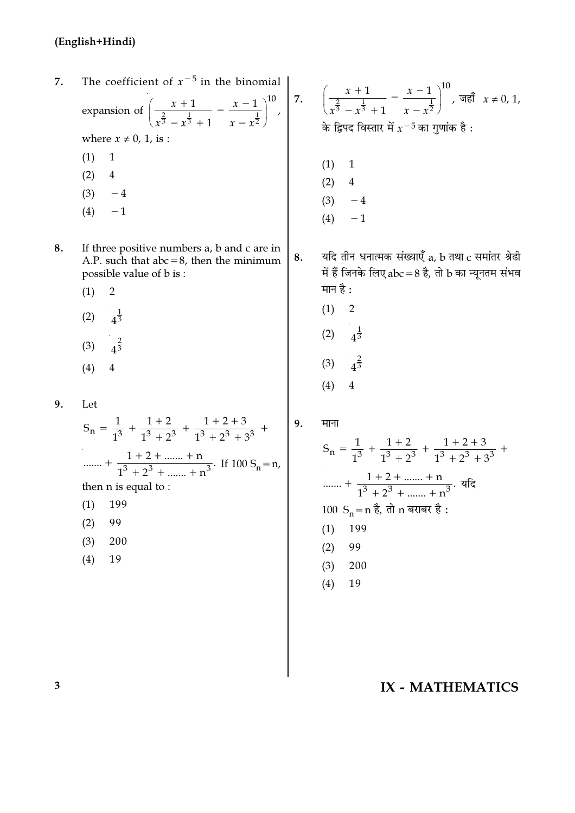- expansion of  $\left(\frac{x+1}{x^{\frac{2}{3}}-x^{\frac{1}{3}}+1}-\frac{x-1}{x-x^{\frac{1}{2}}}\right)^{10}$ ,  $\left(\frac{x+1}{x^{\frac{2}{3}}-x^{\frac{1}{3}}+1}-\frac{x-1}{x-x^{\frac{1}{2}}}\right)^{10}$ ,  $\Rightarrow$  where  $x \neq 0, 1$ , is :<br>
(1) 1 The coefficient of  $x^{-5}$  in the binomial 7. (1) 1<br>
(2) 4<br>
(3) -4<br>
(4) -1  $(2)$  $\overline{4}$  $(3)$  $-4$  $-1$  $(4)$ 8. If three positive numbers a, b and c are in यदि तीन धनात्मक संख्याएँ a, b तथा c समांतर श्रेढी 8. A.P. such that  $abc = 8$ , then the minimum में हैं जिनके लिए abc = 8 है, तो b का न्यूनतम संभव possible value of b is: मान है :
	- $(1)$  $\overline{2}$
	- $(2)$  $4^{\frac{1}{3}}$
	- $(3)$
	- $(4)$
- $9<sub>1</sub>$ Let

 $S_n = \frac{1}{1^3} + \frac{1+2}{1^3+2^3} + \frac{1+2+3}{1^3+2^3+3^3} +$ ....... +  $\frac{1+2+...+n}{1^3+2^3+...+n^3}$ . If 100 S<sub>n</sub> = n, then n is equal to:

- 199  $(1)$
- $(2)$ 99
- $(3)$ 200
- 19  $(4)$

 $\Big| 9.$ माना

 $(1)$ 

 $(2)$ 

 $(3)$ 

 $(4)$ 

 $\overline{2}$ 

 $4^{\frac{1}{3}}$ 

$$
S_n = \frac{1}{1^3} + \frac{1+2}{1^3 + 2^3} + \frac{1+2+3}{1^3 + 2^3 + 3^3} + \dots + \frac{1+2+ \dots + n}{1^3 + 2^3 + \dots + n^3}.
$$
 
$$
T = \frac{1+2+ \dots + n}{1^3 + 2^3 + \dots + n^3}.
$$
 
$$
T = \frac{1}{1^3 + 2^3 + \dots + n^3}.
$$
 
$$
T = \frac{1}{1^3 + 2^3 + \dots + n^3}.
$$
 
$$
T = \frac{1}{1^3 + 2^3 + \dots + n^3}.
$$
 
$$
T = \frac{1}{1^3 + 2^3 + \dots + n^3}.
$$
 
$$
T = \frac{1}{1^3 + 2^3 + 3^3}.
$$
 
$$
T = \frac{1}{1^3 + 2^3 + \dots + n^3}.
$$
 
$$
T = \frac{1}{1^3 + 2^3 + 3^3}.
$$

19  $(4)$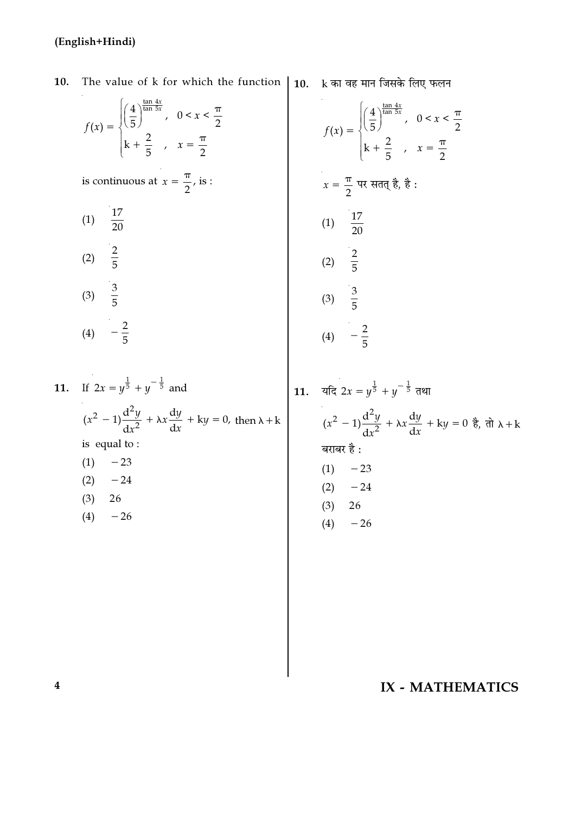$\hat{\boldsymbol{\beta}}$ 

10. The value of k for which the function | 10. k का वह मान जिसके लिए फलन

|                     | $f(x) = \begin{cases} \left(\frac{4}{5}\right)^{\frac{\tan 4x}{\tan 5x}}, & 0 < x < \frac{\pi}{2} \\ k + \frac{2}{5}, & x = \frac{\pi}{2} \end{cases}$ |
|---------------------|--------------------------------------------------------------------------------------------------------------------------------------------------------|
|                     | is continuous at $x = \frac{\pi}{2}$ , is :                                                                                                            |
| (1) $\frac{17}{20}$ |                                                                                                                                                        |
| (2) $\frac{2}{5}$   |                                                                                                                                                        |
| (3) $\frac{3}{5}$   |                                                                                                                                                        |
| (4)                 | $-\frac{2}{5}$                                                                                                                                         |

11. If 
$$
2x = y^{\frac{1}{5}} + y^{-\frac{1}{5}}
$$
 and  
\n
$$
(x^2 - 1)\frac{d^2y}{dx^2} + \lambda x \frac{dy}{dx} + ky = 0, \text{ then } \lambda + k
$$
\nis equal to :  
\n(1) -23  
\n(2) -24  
\n(3) 26  
\n(4) -26

$$
f(x) = \begin{cases} \left(\frac{4}{5}\right)^{\frac{\tan 4x}{\tan 5x}}, & 0 < x < \frac{\pi}{2} \\ k + \frac{2}{5}, & x = \frac{\pi}{2} \end{cases}
$$
  
\n
$$
x = \frac{\pi}{2} \quad \text{if } x \in \text{diag} \text{ and } \text{if } x \in \text{diag} \text{ and } \text{if } x \in \text{diag} \text{ and } \text{diag} \text{ and } \text{diag} \text{ and } \text{diag} \text{ and } \text{diag} \text{ and } \text{diag} \text{ and } \text{diag} \text{ and } \text{diag} \text{ and } \text{diag} \text{ and } \text{diag} \text{ and } \text{diag} \text{ and } \text{diag} \text{ and } \text{diag} \text{ and } \text{diag} \text{ and } \text{diag} \text{ and } \text{diag} \text{ and } \text{diag} \text{ and } \text{diag} \text{ and } \text{diag} \text{ and } \text{diag} \text{ and } \text{diag} \text{ and } \text{diag} \text{ and } \text{diag} \text{ and } \text{diag} \text{ and } \text{diag} \text{ and } \text{diag} \text{ and } \text{diag} \text{ and } \text{diag} \text{ and } \text{diag} \text{ and } \text{diag} \text{ and } \text{diag} \text{ and } \text{diag} \text{ and } \text{diag} \text{ and } \text{diag} \text{ and } \text{diag} \text{ and } \text{diag} \text{ and } \text{diag} \text{ and } \text{diag} \text{ and } \text{diag} \text{ and } \text{diag} \text{ and } \text{diag} \text{ and } \text{diag} \text{ and } \text{diag} \text{ and } \text{diag} \text{ and } \text{diag} \text{ and } \text{diag} \text{ and } \text{diag} \text{ and } \text{diag} \text{ and } \text{diag} \text{ and } \text{diag} \text{ and } \text{diag} \text{ and } \text{diag} \text{ and } \text{diag} \text{ and } \text{diag} \text{ and } \text{diag} \text{ and } \text{diag} \text{ and } \text{diag} \text{ and } \text{diag} \text{ and } \text{diag} \text{ and } \text{diag} \text{ and } \text{diag} \text{ and } \text{diag} \text{ and } \
$$

 $(3)$ 

 $(4)$ 

26

 $-26$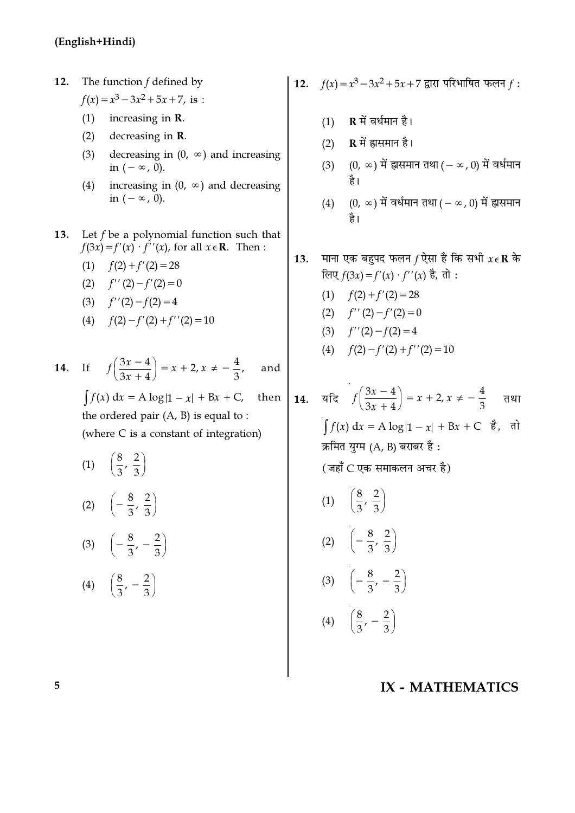The function  $f$  defined by 12.  $f(x) = x^3 - 3x^2 + 5x + 7$ , is :

- $(1)$ increasing in *.*
- $(2)$ decreasing in *.*
- decreasing in  $(0, \infty)$  and increasing  $(3)$ in  $(-\infty, 0)$ .
- increasing in  $(0, \infty)$  and decreasing  $(4)$ in  $(-\infty, 0)$ .
- Let  $f$  be a polynomial function such that 13.  $f(3x) = f'(x) \cdot f''(x)$ , for all  $x \in \mathbb{R}$ . Then:
	- (1)  $f(2) + f'(2) = 28$
	- (2)  $f''(2) f'(2) = 0$
	- (3)  $f''(2) f(2) = 4$
	- (4)  $f(2) f'(2) + f''(2) = 10$

**14.** If 
$$
f\left(\frac{3x-4}{3x+4}\right) = x + 2, x \neq -\frac{4}{3}
$$
, and  
\n $\int f(x) dx = A \log|1-x| + Bx + C$ , then  
\nthe ordered pair (A, B) is equal to :

(where C is a constant of integration)

(1)  $\left(\frac{8}{3}, \frac{2}{3}\right)$ (2)  $\left(-\frac{8}{3},\frac{2}{3}\right)$ (3)  $\left(-\frac{8}{3}, -\frac{2}{3}\right)$ (4)  $\left(\frac{8}{3},-\frac{2}{3}\right)$ 

12. 
$$
f(x) = x^3 - 3x^2 + 5x + 7
$$
 द्वारा परिभाषित फलन  $f$ :

- R में वर्धमान है।  $(1)$
- $R$  में ह्रासमान है।  $(2)$
- $(0, \infty)$  में ह्रासमान तथा (  $\infty$  , 0) में वर्धमान  $(3)$ है।
- $(0, \infty)$  में वर्धमान तथा  $(-\infty, 0)$  में ह्रासमान  $(4)$ है।
- माना एक बहुपद फलन  $f$  ऐसा है कि सभी  $x \in \mathbf{R}$  के 13. लिए  $f(3x) = f'(x) \cdot f''(x)$  है, तो :
	- $(1)$  $f(2) + f'(2) = 28$
	- $f''(2) f'(2) = 0$  $(2)$

$$
(3) \t f''(2) - f(2) = 4
$$

- (4)  $f(2) f'(2) + f''(2) = 10$
- 14. यदि  $f\left(\frac{3x-4}{3x+4}\right) = x + 2, x \neq -\frac{4}{3}$ तथा  $\int f(x) dx = A \log|1-x| + Bx + C$  है, तो क्रमित युग्म (A, B) बराबर है: (जहाँ C एक समाकलन अचर है) (1)  $\left(\frac{8}{3}, \frac{2}{3}\right)$ (2)  $\left(-\frac{8}{3},\frac{2}{3}\right)$  $\left(-\frac{8}{3},-\frac{2}{3}\right)$  $(3)$ 
	- (4)  $\left(\frac{8}{3},-\frac{2}{3}\right)$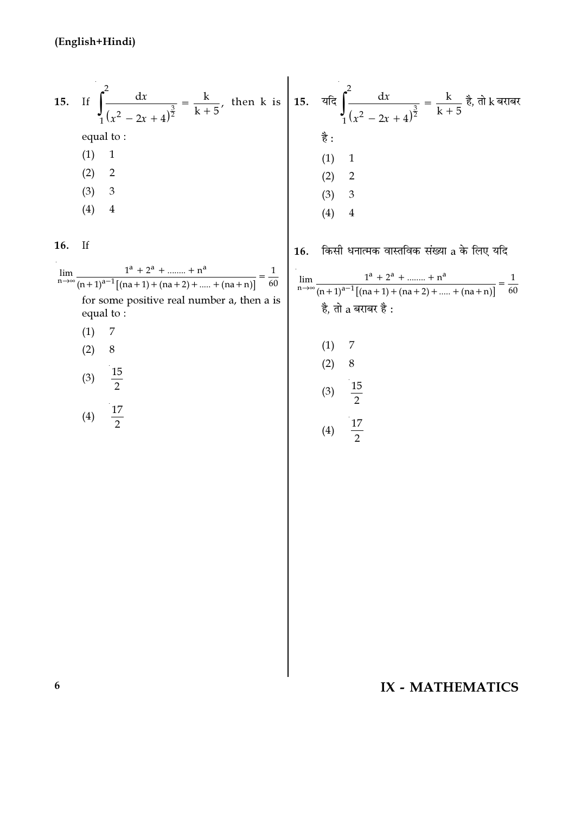15. If 
$$
\int_{1}^{2} \frac{dx}{(x^2 - 2x + 4)^{\frac{3}{2}}} = \frac{k}{k+5}
$$
, then k is  $\begin{cases} 15. & \text{if } \int_{1}^{2} \frac{dx}{(x^2 - 2x + 4)^{\frac{3}{2}}} = \frac{k}{k+5} \frac{3}{6} \text{, } \frac{3}{6} \text{, and } \frac{3}{6} \text{.} \end{cases}$   
\nequal to :  
\n(1) 1  
\n(2) 2  
\n(3) 3  
\n(4) 4  
\n(5)  $\frac{1}{2} \left( \frac{1}{x^2 - 2x + 4} \right)^{\frac{3}{2}} = \frac{k}{k+5} \frac{3}{6} \text{, and } \frac{3}{6} \text{.} \end{cases}$   
\n(5)  $\frac{4}{3} \left( \frac{1}{4} \right) = \frac{1}{4} \left( \frac{1}{4} \right) = \frac{1}{4} \left( \frac{1}{4} \right) = \frac{1}{4} \left( \frac{1}{4} \right) = \frac{1}{4} \left( \frac{1}{4} \right) = \frac{1}{4} \left( \frac{1}{4} \right) = \frac{1}{4} \left( \frac{1}{4} \right) = \frac{1}{4} \left( \frac{1}{4} \right) = \frac{1}{4} \left( \frac{1}{4} \right) = \frac{1}{4} \left( \frac{1}{4} \right) = \frac{1}{4} \left( \frac{1}{4} \right) = \frac{1}{4} \left( \frac{1}{4} \right) = \frac{1}{4} \left( \frac{1}{4} \right) = \frac{1}{4} \left( \frac{1}{4} \right) = \frac{1}{4} \left( \frac{1}{4} \right) = \frac{1}{4} \left( \frac{1}{4} \right) = \frac{1}{4} \left( \frac{1}{4} \right) = \frac{1}{4} \left( \frac{1}{4} \right) = \frac{1}{4} \left( \frac{1}{4} \right) = \frac{1}{4} \left( \frac{1}{4} \right) = \frac{1}{4} \left( \frac{1}{4} \right) = \frac{1}{4} \left( \frac{1}{4} \right) = \frac{1}{4} \left( \frac{1}{4}$ 

16. If

| lim                                                     |     | $1^a + 2^a + \dots + n^a$<br>$n \rightarrow \infty$ (n + 1) <sup>a-1</sup> [(na + 1) + (na + 2) +  + (na + n)]<br>60 |  |  |  |
|---------------------------------------------------------|-----|----------------------------------------------------------------------------------------------------------------------|--|--|--|
| for some positive real number a, then a is<br>equal to: |     |                                                                                                                      |  |  |  |
|                                                         | (1) | - 7                                                                                                                  |  |  |  |
|                                                         |     |                                                                                                                      |  |  |  |

$$
(3) \quad \frac{15}{2}
$$

$$
(4) \quad \frac{17}{2}
$$

 $16.$  किसी धनात्मक वास्तविक संख्या a के लिए यदि

$$
\lim_{n \to \infty} \frac{1^{a} + 2^{a} + \dots + n^{a}}{(n+1)^{a-1}[(na+1) + (na+2) + \dots + (na+n)]} = \frac{1}{60}
$$
  

$$
\frac{3}{6}, \frac{3}{6} \frac{3}{6} \frac{3}{6} \frac{3}{6} \frac{3}{6} \frac{3}{6} \frac{3}{6} \frac{3}{6} \frac{3}{6} \frac{3}{6} \frac{3}{6} \frac{3}{6} \frac{3}{6} \frac{3}{6} \frac{3}{6} \frac{3}{6} \frac{3}{6} \frac{3}{6} \frac{3}{6} \frac{3}{6} \frac{3}{6} \frac{3}{6} \frac{3}{6} \frac{3}{6} \frac{3}{6} \frac{3}{6} \frac{3}{6} \frac{3}{6} \frac{3}{6} \frac{3}{6} \frac{3}{6} \frac{3}{6} \frac{3}{6} \frac{3}{6} \frac{3}{6} \frac{3}{6} \frac{3}{6} \frac{3}{6} \frac{3}{6} \frac{3}{6} \frac{3}{6} \frac{3}{6} \frac{3}{6} \frac{3}{6} \frac{3}{6} \frac{3}{6} \frac{3}{6} \frac{3}{6} \frac{3}{6} \frac{3}{6} \frac{3}{6} \frac{3}{6} \frac{3}{6} \frac{3}{6} \frac{3}{6} \frac{3}{6} \frac{3}{6} \frac{3}{6} \frac{3}{6} \frac{3}{6} \frac{3}{6} \frac{3}{6} \frac{3}{6} \frac{3}{6} \frac{3}{6} \frac{3}{6} \frac{3}{6} \frac{3}{6} \frac{3}{6} \frac{3}{6} \frac{3}{6} \frac{3}{6} \frac{3}{6} \frac{3}{6} \frac{3}{6} \frac{3}{6} \frac{3}{6} \frac{3}{6} \frac{3}{6} \frac{3}{6} \frac{3}{6} \frac{3}{6} \frac{3}{6} \frac{3}{6} \frac{3}{6} \frac{3}{6} \frac{3}{6} \frac{3}{6} \frac{3}{6} \frac{3}{6} \frac{3}{6} \frac{3}{6} \frac{3}{6} \frac{3}{6} \frac{3}{6} \frac{3}{6} \frac{
$$

$$
(3) \frac{15}{2}
$$
  

$$
(4) \frac{17}{2}
$$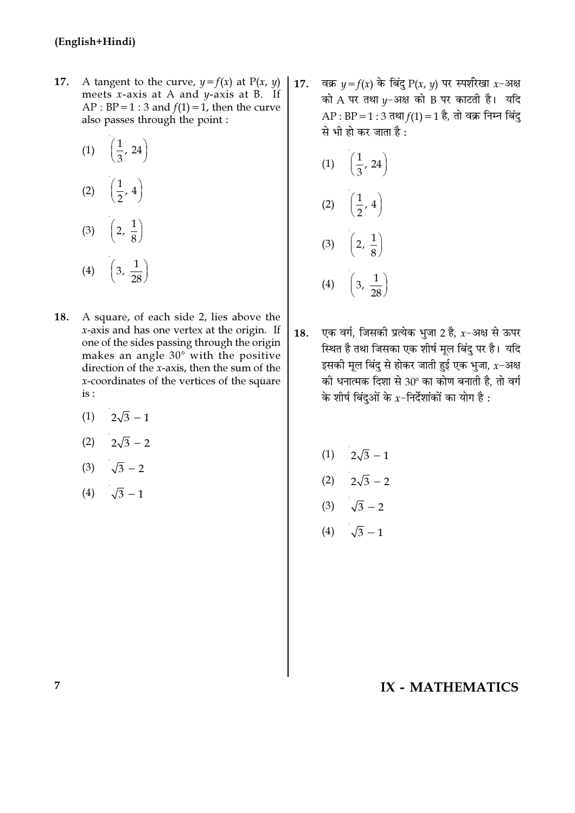- 17. A tangent to the curve,  $y = f(x)$  at  $P(x, y)$ meets  $x$ -axis at A and  $y$ -axis at B. If AP : BP = 1 : 3 and  $f(1) = 1$ , then the curve also passes through the point :
	- (1)  $\left(\frac{1}{3}, 24\right)$ (2)  $\left(\frac{1}{2}, 4\right)$ (3)  $\left(2, \frac{1}{8}\right)$ (4)  $\left(3, \frac{1}{28}\right)$
- 18. A square, of each side 2, lies above the  $x$ -axis and has one vertex at the origin. If one of the sides passing through the origin makes an angle 30° with the positive direction of the  $x$ -axis, then the sum of the  $x$ -coordinates of the vertices of the square is :
	- $(1)$   $2\sqrt{3} 1$
	- (2)  $2\sqrt{3}-2$
	- (3)  $\sqrt{3}-2$
	- (4)  $\sqrt{3}-1$

वक्र  $y = f(x)$  के बिंदु P(x, y) पर स्पर्शरेखा x-अक्ष 17. को A पर तथा  $\nu$ -अक्ष को B पर काटती है। यदि AP : BP = 1 : 3 तथा  $f(1) = 1$  है, तो वक्र निम्न बिंदु से भी हो कर जाता है :

(1) 
$$
\left(\frac{1}{3}, 24\right)
$$
  
\n(2)  $\left(\frac{1}{2}, 4\right)$   
\n(3)  $\left(2, \frac{1}{8}\right)$   
\n(4)  $\left(3, \frac{1}{28}\right)$ 

- एक वर्ग, जिसकी प्रत्येक भजा 2 है.  $x$ -अक्ष से ऊपर 18. स्थित है तथा जिसका एक शीर्ष मूल बिंदु पर है। यदि इसकी मूल बिंदु से होकर जाती हुई एक भुजा,  $x$ –अक्ष की धनात्मक दिशा से 30° का कोण बनाती है, तो वर्ग के शीर्ष बिंदुओं के  $x$ -निर्देशांकों का योग है :
	- $(1)$   $2\sqrt{3} 1$
	- (2)  $2\sqrt{3}-2$
	- (3)  $\sqrt{3}-2$
	- (4)  $\sqrt{3}-1$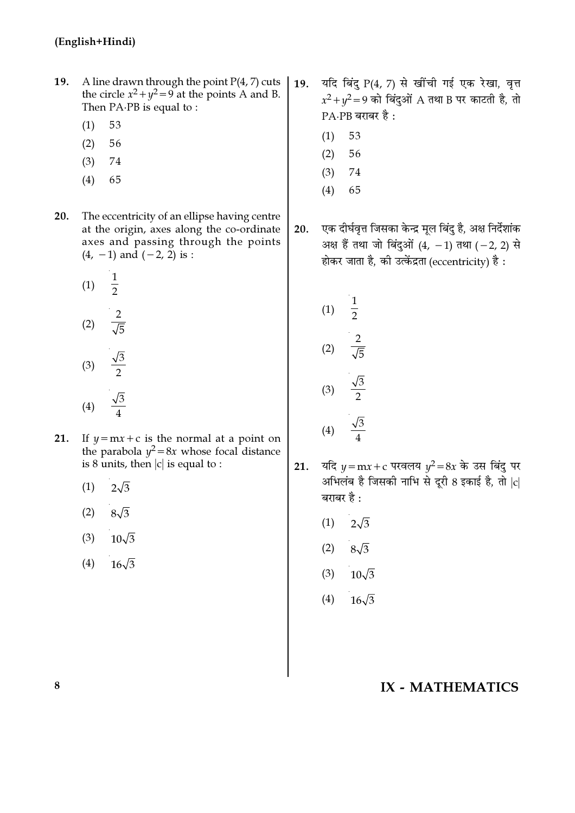- A line drawn through the point  $P(4, 7)$  cuts 19. the circle  $x^2 + y^2 = 9$  at the points A and B. Then PA.PB is equal to:
	- $(1)$ 53
	- $(2)$ 56
	- $(3)$ 74
	- $(4)$ 65
- The eccentricity of an ellipse having centre 20. at the origin, axes along the co-ordinate axes and passing through the points  $(4, -1)$  and  $(-2, 2)$  is :
	- $\frac{1}{2}$  $(1)$  $\frac{2}{\sqrt{5}}$  $(2)$  $\frac{\sqrt{3}}{2}$  $(3)$
	- $\frac{\sqrt{3}}{4}$  $(4)$
- 21. If  $y = mx + c$  is the normal at a point on the parabola  $y^2 = 8x$  whose focal distance is 8 units, then  $|c|$  is equal to :
	- $(1)$  $2\sqrt{3}$
	- $(2)$  $8\sqrt{3}$
	- $(3)$  $10\sqrt{3}$
	- $(4)$  $16\sqrt{3}$
- यदि बिंदु P(4, 7) से खींची गई एक रेखा, वृत्त 19.  $x^2 + y^2 = 9$  को बिंदुओं A तथा B पर काटती है, तो  $PA$   $PB$  बराबर है:
	- 53  $(1)$
	- $(2)$ 56
	- $(3)$ 74
	- $(4)$ 65
- एक दीर्घवृत्त जिसका केन्द्र मूल बिंदु है, अक्ष निर्देशांक  $20.$ अक्ष हैं तथा जो बिंदुओं (4, -1) तथा (-2, 2) से होकर जाता है, की उत्केंद्रता (eccentricity) है:

(1) 
$$
\frac{1}{2}
$$
  
\n(2)  $\frac{2}{\sqrt{5}}$   
\n(3)  $\frac{\sqrt{3}}{2}$   
\n(4)  $\frac{\sqrt{3}}{4}$ 

- यदि  $y = mx + c$  परवलय  $y^2 = 8x$  के उस बिंदु पर  $21.$ अभिलंब है जिसकी नाभि से दूरी 8 इकाई है, तो  $|c|$ बराबर है :
	- $(1)$  $2\sqrt{3}$
	- $(2)$  $8\sqrt{3}$
	- $(3)$   $10\sqrt{3}$
	- (4)  $16\sqrt{3}$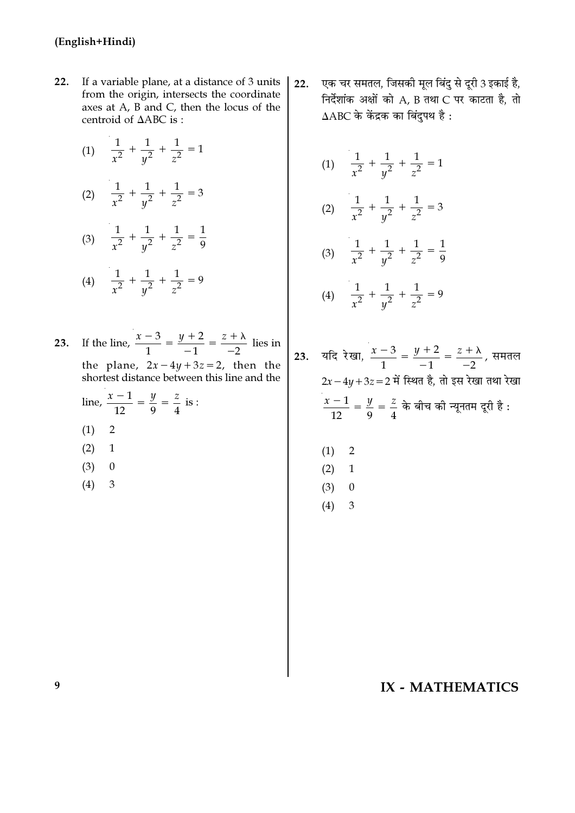- $22.$ If a variable plane, at a distance of 3 units from the origin, intersects the coordinate axes at A, B and C, then the locus of the centroid of ΔABC is:
	- (1)  $\frac{1}{x^2} + \frac{1}{y^2} + \frac{1}{z^2} = 1$ (2)  $\frac{1}{x^2} + \frac{1}{y^2} + \frac{1}{z^2} = 3$ (3)  $\frac{1}{x^2} + \frac{1}{y^2} + \frac{1}{z^2} = \frac{1}{9}$ (4)  $\frac{1}{x^2} + \frac{1}{y^2} + \frac{1}{z^2} = 9$

23. If the line,  $\frac{x-3}{1} = \frac{y+2}{-1} = \frac{z+\lambda}{-2}$  lies in the plane,  $2x-4y+3z=2$ , then the shortest distance between this line and the line,  $\frac{x-1}{12} = \frac{y}{9} = \frac{z}{4}$  is :

- $\overline{2}$  $(1)$
- $(2)$  $\mathbf 1$
- $(3)$  $\mathbf{0}$
- $(4)$ 3

एक चर समतल, जिसकी मूल बिंदु से दूरी 3 इकाई है,  $22.$ निर्देशांक अक्षों को A, B तथा C पर काटता है, तो  $\triangle$ ABC के केंद्रक का बिंदुपथ है:

(1) 
$$
\frac{1}{x^2} + \frac{1}{y^2} + \frac{1}{z^2} = 1
$$
  
\n(2) 
$$
\frac{1}{x^2} + \frac{1}{y^2} + \frac{1}{z^2} = 3
$$
  
\n(3) 
$$
\frac{1}{x^2} + \frac{1}{y^2} + \frac{1}{z^2} = \frac{1}{9}
$$
  
\n(4) 
$$
\frac{1}{x^2} + \frac{1}{y^2} + \frac{1}{z^2} = 9
$$
  
\n3. 
$$
\sqrt[3]{\frac{1}{x^2} + \frac{1}{y^2} + \frac{1}{z^2}} = \frac{1}{9}
$$
  
\n
$$
2x - 4y + 3z = 2 \text{ if } \sqrt[3]{\frac{1}{1}} = \frac{y + 2}{-1} = \frac{z + \lambda}{-2}, \frac{z + \lambda}{-1} = \frac{z + \lambda}{-2} = \frac{z + \lambda}{-2} = \frac{z + \lambda}{-2} = \frac{z + \lambda}{-2} = \frac{z + \lambda}{-2} = \frac{z + \lambda}{-2} = \frac{z + \lambda}{-2} = \frac{z + \lambda}{-2} = \frac{z + \lambda}{-2} = \frac{z + \lambda}{-2} = \frac{z + \lambda}{-2} = \frac{z + \lambda}{-2} = \frac{z + \lambda}{-2} = \frac{z + \lambda}{-2} = \frac{z + \lambda}{-2} = \frac{z + \lambda}{-2} = \frac{z + \lambda}{-2} = \frac{z + \lambda}{-2} = \frac{z + \lambda}{-2} = \frac{z + \lambda}{-2} = \frac{z + \lambda}{-2} = \frac{z + \lambda}{-2} = \frac{z + \lambda}{-2} = \frac{z + \lambda}{-2} = \frac{z + \lambda}{-2} = \frac{z + \lambda}{-2} = \frac{z + \lambda}{-2} = \frac{z + \lambda}{-2} = \frac{z + \lambda}{-2} = \frac{z + \lambda}{-2} = \frac{z + \lambda}{-2} = \frac{z + \lambda}{-2} = \frac{z + \lambda}{-2} = \frac{z + \lambda}{-2} = \frac{z + \lambda}{-2} = \frac{z + \lambda}{-2} = \frac{z + \lambda}{-2} = \frac{z + \lambda
$$

 $2$ समतल था रेखा है :  $(1)$  $\overline{2}$  $(2)$  $\mathbf{1}$  $(3)$  $\boldsymbol{0}$ 

> $(4)$ 3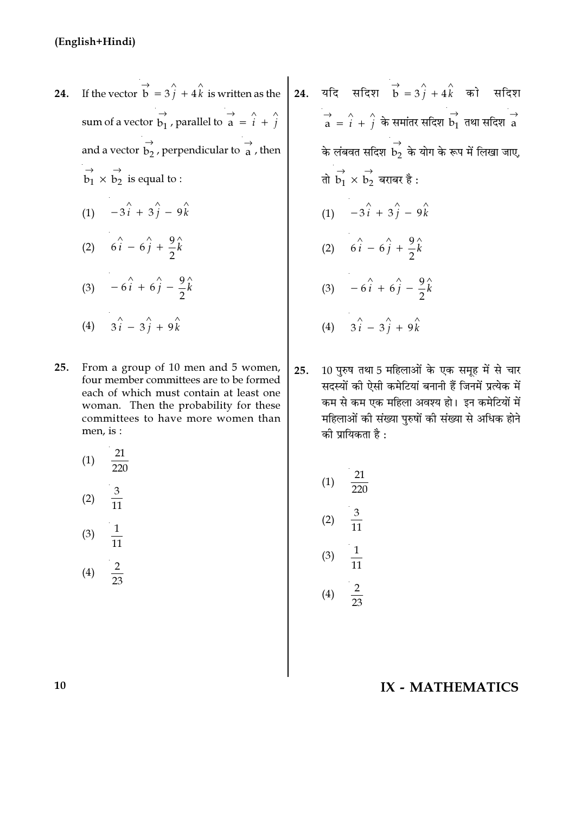- $24.$ sum of a vector  $\overrightarrow{b_1}$ , parallel to  $\overrightarrow{a} = \hat{i} + \hat{j}$ and a vector  $\overrightarrow{b_2}$ , perpendicular to  $\overrightarrow{a}$ , then  $\overrightarrow{b_1} \times \overrightarrow{b_2}$  is equal to : (1)  $-3\hat{i} + 3\hat{j} - 9\hat{k}$ (2)  $6\hat{i} - 6\hat{j} + \frac{9}{2}\hat{k}$ (3)  $-6\hat{i} + 6\hat{j} - \frac{9}{2}\hat{k}$ (4)  $3\hat{i} - 3\hat{j} + 9\hat{k}$
- From a group of 10 men and 5 women, 25. four member committees are to be formed each of which must contain at least one woman. Then the probability for these committees to have more women than men, is:
	- 21  $(1)$  $\frac{3}{11}$  $(2)$

$$
(3) \quad \frac{1}{11}
$$
\n
$$
(4) \quad \frac{2}{11}
$$

 $\overline{23}$ 

If the vector  $\overrightarrow{b} = 3\overrightarrow{j} + 4\overrightarrow{k}$  is written as the 24. यदि सदिश  $\overrightarrow{b} = 3\overrightarrow{j} + 4\overrightarrow{k}$  को सदिश  $\overrightarrow{a} = \hat{i} + \hat{j}$  के समांतर सदिश  $\overrightarrow{b_1}$  तथा सदिश  $\overrightarrow{a}$ के लंबवत सदिश  $\overrightarrow{b_2}$  के योग के रूप में लिखा जाए, तो  $\overrightarrow{b_1} \times \overrightarrow{b_2}$  बराबर है : (1)  $-3\hat{i} + 3\hat{j} - 9\hat{k}$ (2)  $6\hat{i} - 6\hat{j} + \frac{9}{2}\hat{k}$ (3)  $-6\hat{i} + 6\hat{j} - \frac{9}{2}\hat{k}$ (4)  $3\hat{i} - 3\hat{j} + 9\hat{k}$ 

> 10 पुरुष तथा 5 महिलाओं के एक समूह में से चार 25. सदस्यों की ऐसी कमेटियां बनानी हैं जिनमें प्रत्येक में कम से कम एक महिला अवश्य हो। इन कमेटियों में महिलाओं की संख्या पुरुषों की संख्या से अधिक होने को प्रायिकता है :

(1) 
$$
\frac{21}{220}
$$
  
\n(2)  $\frac{3}{11}$   
\n(3)  $\frac{1}{11}$   
\n(4)  $\frac{2}{23}$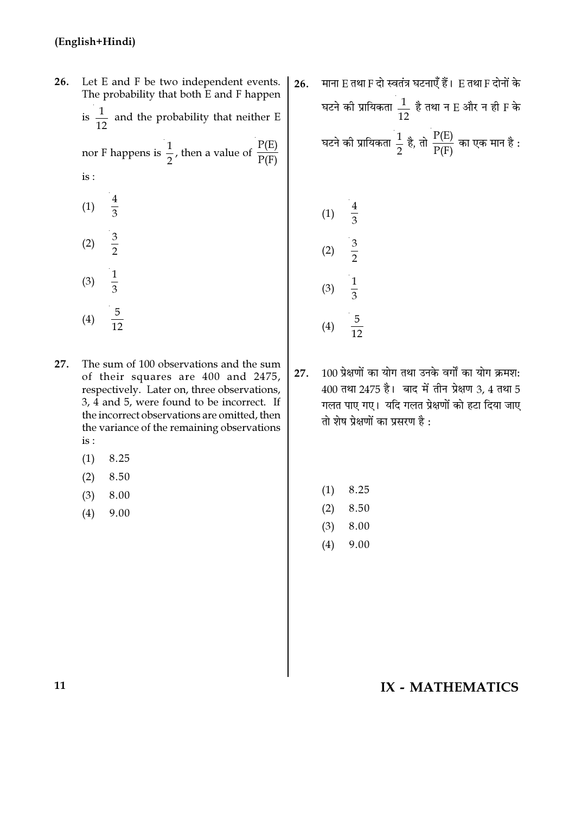| 26. | Let E and F be two independent events.<br>The probability that both E and F happen |                                                                      |  |  |  |  |  |
|-----|------------------------------------------------------------------------------------|----------------------------------------------------------------------|--|--|--|--|--|
|     |                                                                                    | is $\frac{1}{12}$ and the probability that neither E                 |  |  |  |  |  |
|     |                                                                                    | nor F happens is $\frac{1}{2}$ , then a value of $\frac{P(E)}{P(F)}$ |  |  |  |  |  |
|     | is:                                                                                |                                                                      |  |  |  |  |  |
|     | (1) $\frac{4}{3}$                                                                  |                                                                      |  |  |  |  |  |
|     | (2) $\frac{3}{2}$                                                                  |                                                                      |  |  |  |  |  |
|     | (3) $\frac{1}{3}$                                                                  |                                                                      |  |  |  |  |  |
|     |                                                                                    |                                                                      |  |  |  |  |  |

- The sum of 100 observations and the sum 27. of their squares are 400 and 2475, respectively. Later on, three observations, 3, 4 and 5, were found to be incorrect. If the incorrect observations are omitted, then the variance of the remaining observations  $is:$ 
	- $(1)$ 8.25

 $\frac{5}{12}$ 

 $(4)$ 

- $(2)$ 8.50
- 8.00  $(3)$
- $(4)$ 9.00

माना E तथा F दो स्वतंत्र घटनाएँ हैं। E तथा F दोनों के  $26.$ घटने की प्रायिकता  $\frac{1}{12}$  है तथा न E और न ही F के घटने की प्रायिकता  $\frac{1}{2}$  है, तो  $\frac{P(E)}{P(F)}$  का एक मान है :

(1) 
$$
\frac{4}{3}
$$
  
\n(2)  $\frac{3}{2}$   
\n(3)  $\frac{1}{3}$   
\n(4)  $\frac{5}{12}$ 

100 प्रेक्षणों का योग तथा उनके वर्गों का योग क्रमश: 27. 400 तथा 2475 है। बाद में तीन प्रेक्षण 3, 4 तथा 5 गलत पाए गए। यदि गलत प्रेक्षणों को हटा दिया जाए तो शेष प्रेक्षणों का प्रसरण है:

- $(1)$ 8.25
- $(2)$ 8.50
- $(3)$ 8.00
- $(4)$ 9.00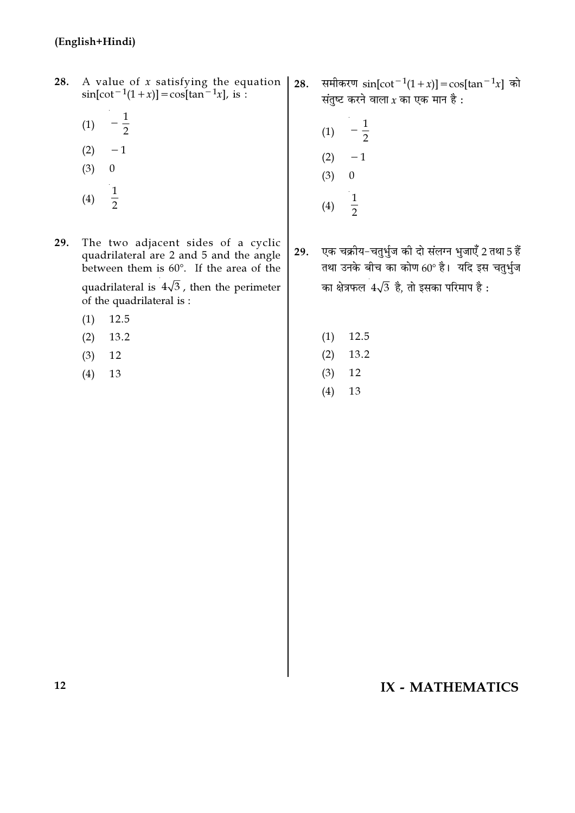- 28. A value of *x* satisfying the equation<br>sin[cot<sup>-1</sup>(1+*x*)] = cos[tan<sup>-1</sup>*x*], is :
	- $\frac{1}{2}$  $(1)$
	- $(2)$  $-1$
	- $(3)$  $\boldsymbol{0}$
	- $\frac{1}{2}$  $(4)$
- 29. The two adjacent sides of a cyclic quadrilateral are 2 and 5 and the angle between them is 60°. If the area of the quadrilateral is  $4\sqrt{3}$ , then the perimeter of the quadrilateral is :
	- 12.5  $(1)$
	- $(2)$ 13.2
	- $(3)$ 12
	- $(4)$ 13
- समीकरण  $sin[cot^{-1}(1+x)] = cos[tan^{-1}x]$  को 28. संतुष्ट करने वाला $x$  का एक मान है :
	- $-\frac{1}{2}$  $(1)$  $-1$  $(2)$  $(3)$  $\mathbf{0}$
	- $\frac{1}{2}$  $(4)$

एक चक्रीय-चतुर्भुज की दो संलग्न भुजाएँ 2 तथा 5 हैं 29. तथा उनके बीच का कोण 60° है। यदि इस चतुर्भुज का क्षेत्रफल  $4\sqrt{3}$  है, तो इसका परिमाप है :

- $(1)$ 12.5
- $(2)$ 13.2
- $(3)$  $12\,$
- $(4)$ 13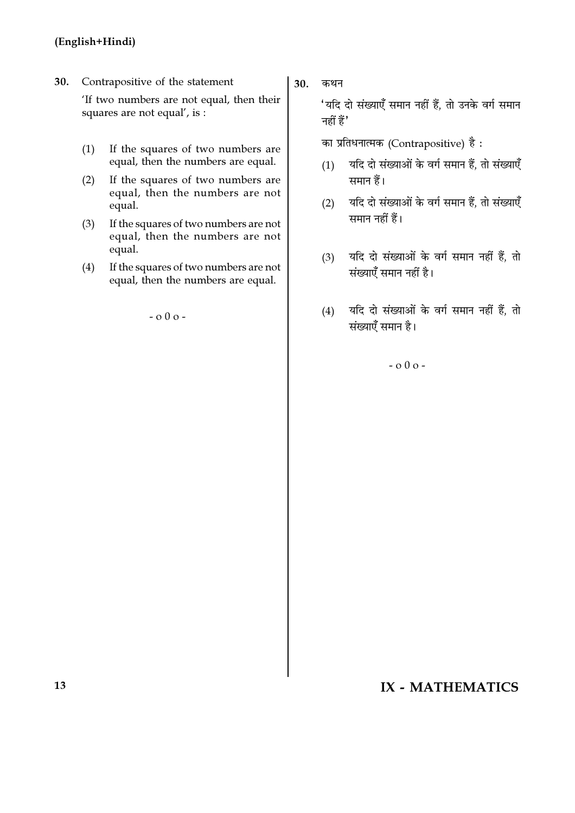30. Contrapositive of the statement

'If two numbers are not equal, then their squares are not equal', is :

- (1) If the squares of two numbers are equal, then the numbers are equal.
- (2) If the squares of two numbers are equal, then the numbers are not equal.
- (3) If the squares of two numbers are not equal, then the numbers are not equal.
- (4) If the squares of two numbers are not equal, then the numbers are equal.

- o 0 o -

30. कथन

'यदि दो संख्याएँ समान नहीं हैं, तो उनके वर्ग समान  $\vec{B}$  नहीं हैं $'$ 

का प्रतिधनात्मक (Contrapositive) है:

- (1) यदि दो संख्याओं के वर्ग समान हैं, तो संख्याएँ समान हैं।
- (2) यदि दो संख्याओं के वर्ग समान हैं, तो संख्याएँ समान नहीं हैं।
- (3) यदि दो संख्याओं के वर्ग समान नहीं हैं, तो संख्याएँ समान नहीं है।
- (4) यदि दो संख्याओं के वर्ग समान नहीं हैं, तो संख्याएँ समान है।

- o 0 o -